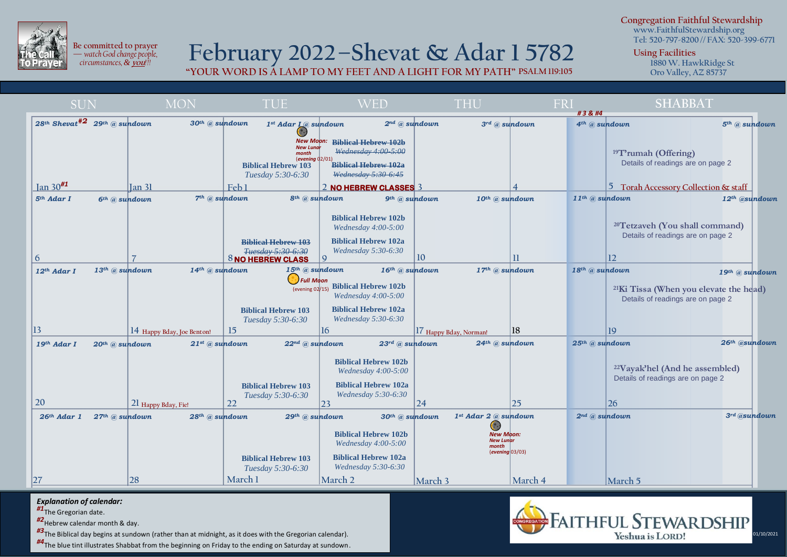

i

**Be committed to prayer —** *watch God change people, circumstances, &* **you***!!!*

## **February 2022–Shevat & Adar 1 5782**

**"YOUR WORD IS A LAMP TO MY FEET AND A LIGHT FOR MY PATH" PSALM 119:105**

**Congregation Faithful Stewardship www.FaithfulStewardship.org**

**Tel: 520-797-8200 // FAX: 520-399-6771**

**Using Facilities**

**1880 W. HawkRidge St Oro Valley, AZ 85737**

| <b>SUN</b>             | <b>MON</b>                                                            | <b>TUE</b>                                                                                                             | WED                                                                                                                                     | THU                                                              | FRI<br>#3     | <b>SHABBAT</b>                                                                                                                       |
|------------------------|-----------------------------------------------------------------------|------------------------------------------------------------------------------------------------------------------------|-----------------------------------------------------------------------------------------------------------------------------------------|------------------------------------------------------------------|----------------|--------------------------------------------------------------------------------------------------------------------------------------|
|                        | 28th Shevat <sup>#2</sup> 29th @ sundown<br>$30th$ @ sundown          | 1st Adar I @ sundown                                                                                                   |                                                                                                                                         | $2^{nd}$ @ sundown<br>$3^{rd}$ @ sundown                         |                | 4 <sup>th</sup> @ sundown<br>$5th$ @ sundown                                                                                         |
| $\tan 30^{#1}$         |                                                                       | <b>New Moon:</b><br><b>New Lundi</b><br>month<br>(evening $02/01$ )<br><b>Biblical Hebrew 103</b><br>Tuesday 5:30-6:30 | <b>Biblical Hebrew 102b</b><br>Wednesday 4:00 5:00<br><b>Biblical Hebrew 102a</b><br>Wednesday 5:30-6:45                                |                                                                  |                | <sup>19</sup> T'rumah (Offering)<br>Details of readings are on page 2                                                                |
| 5 <sup>th</sup> Adar I | Ian 31<br>$6th$ @ sundown                                             | Feb <sub>1</sub><br>7 <sup>th</sup> @ sundown                                                                          | 2 NO HEBREW CLASSES 3<br>8 <sup>th</sup> @ sundown                                                                                      | $10$ <sup>th</sup> $@$ sundown<br>$9th$ (a) sundown              |                | 5 Torah Accessory Collection & staff<br>11 <sup>th</sup> @ sundown<br>12th @sundown                                                  |
| 6                      |                                                                       | <b>Biblical Hebrew 103</b><br><i>Tuesday</i> 5:30-6:30<br><sup>8</sup> NO HEBREW CLASS                                 | <b>Biblical Hebrew 102b</b><br>Wednesday 4:00-5:00<br><b>Biblical Hebrew 102a</b><br>Wednesday 5:30-6:30<br>9                           | 10                                                               | $\mathbf{u}$   | <sup>20</sup> Tetzaveh (You shall command)<br>Details of readings are on page 2<br>12                                                |
| $12th$ Adar I          | $13$ <sup>th</sup> @ sundown<br>$14$ <sup>th</sup> @ sundown          | $15th$ @ sundown                                                                                                       | $16th$ @ sundown                                                                                                                        | $17th$ @ sundown                                                 | 18th @ sundown | $19$ <sup>th</sup> $@$ sundown                                                                                                       |
|                        |                                                                       | J Full Moon<br>(evening 02/15)<br><b>Biblical Hebrew 103</b><br>Tuesday 5:30-6:30                                      | <b>Biblical Hebrew 102b</b><br>Wednesday 4:00-5:00<br><b>Biblical Hebrew 102a</b><br>Wednesday 5:30-6:30                                |                                                                  |                | <sup>21</sup> Ki Tissa (When you elevate the head)<br>Details of readings are on page 2                                              |
| 13                     | 14 Happy Bday, Joe Benton!                                            | 15                                                                                                                     | <sup>16</sup>                                                                                                                           | 17 Happy Bday, Norman!                                           | 18             | 19                                                                                                                                   |
| 19th Adar I<br>20      | $21$ <sup>st</sup> @ sundown<br>20th @ sundown<br>21 Happy Bday, Fie! | $22^{nd}$ @ sundown<br><b>Biblical Hebrew 103</b><br>Tuesday 5:30-6:30<br>22                                           | $23^{rd}$ @ sundown<br><b>Biblical Hebrew 102b</b><br>Wednesday $4:00-5:00$<br><b>Biblical Hebrew 102a</b><br>Wednesday 5:30-6:30<br>23 | $24$ <sup>th</sup> $@$ sundown<br>$\sqrt{24}$                    | 25             | 26th @sundown<br>25 <sup>th</sup> @ sundown<br><sup>22</sup> Vayak'hel (And he assembled)<br>Details of readings are on page 2<br>26 |
| $26th$ Adar 1          | $27th$ @ sundown<br>$28$ <sup>th</sup> $@$ sundown                    | $29$ <sup>th</sup> $@$ sundown                                                                                         | $30th$ @ sundown                                                                                                                        | $1st$ Adar 2 $@$ sundown                                         |                | $2^{nd}$ @ sundown<br>$3rd$ @sundown                                                                                                 |
|                        |                                                                       | <b>Biblical Hebrew 103</b><br>Tuesday 5:30-6:30                                                                        | <b>Biblical Hebrew 102b</b><br>Wednesday 4:00-5:00<br><b>Biblical Hebrew 102a</b><br>Wednesday 5:30-6:30                                | <b>New Moon:</b><br><b>New Lunar</b><br>month<br>(evening 03/03) |                |                                                                                                                                      |
| 27                     | 28                                                                    | March 1                                                                                                                | March 2                                                                                                                                 | March 3                                                          | March 4        | March 5                                                                                                                              |

## *Explanation of calendar:*

*#1*The Gregorian date.

*#2*Hebrew calendar month & day.

*#3*The Biblical day begins at sundown (rather than at midnight, as it does with the Gregorian calendar).

*#4*The blue tint illustrates Shabbat from the beginning on Friday to the ending on Saturday at sundown.